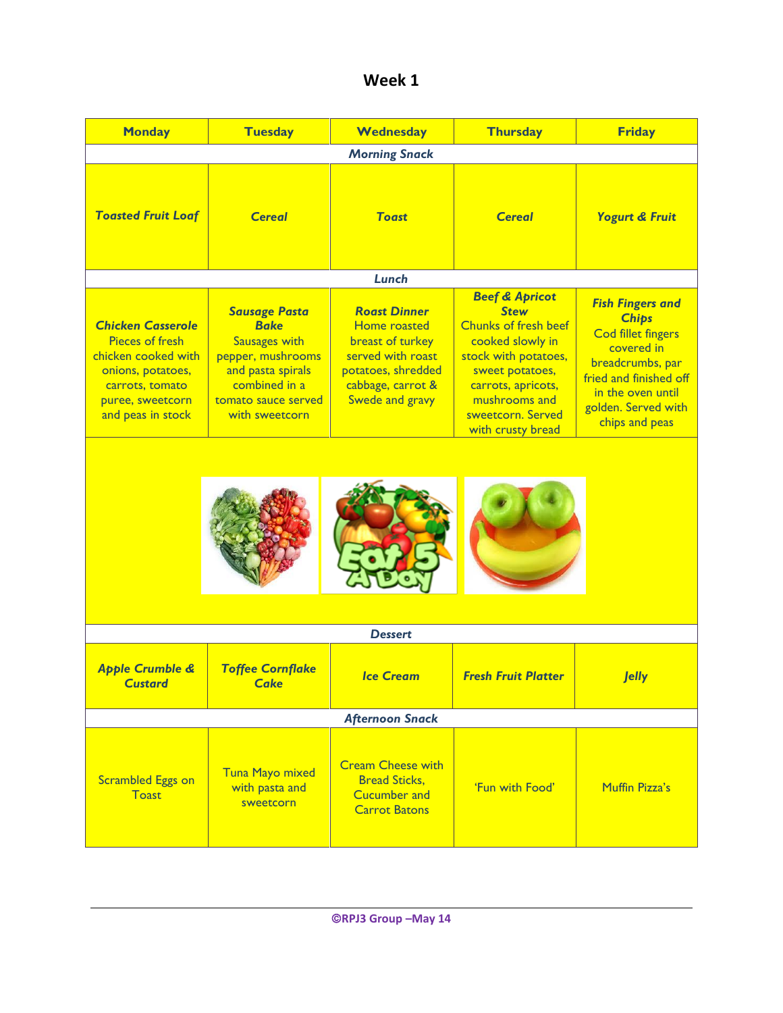| Week 1 |  |
|--------|--|
|--------|--|

| <b>Monday</b>                                                                                                                                              | <b>Tuesday</b>                                                                                                                                                  | Wednesday                                                                                                                                  | <b>Thursday</b>                                                                                                                                                                                                         | <b>Friday</b>                                                                                                                                                                                  |
|------------------------------------------------------------------------------------------------------------------------------------------------------------|-----------------------------------------------------------------------------------------------------------------------------------------------------------------|--------------------------------------------------------------------------------------------------------------------------------------------|-------------------------------------------------------------------------------------------------------------------------------------------------------------------------------------------------------------------------|------------------------------------------------------------------------------------------------------------------------------------------------------------------------------------------------|
|                                                                                                                                                            |                                                                                                                                                                 | <b>Morning Snack</b>                                                                                                                       |                                                                                                                                                                                                                         |                                                                                                                                                                                                |
| <b>Toasted Fruit Loaf</b>                                                                                                                                  | <b>Cereal</b>                                                                                                                                                   | <b>Toast</b>                                                                                                                               | <b>Cereal</b>                                                                                                                                                                                                           | <b>Yogurt &amp; Fruit</b>                                                                                                                                                                      |
|                                                                                                                                                            |                                                                                                                                                                 | Lunch                                                                                                                                      |                                                                                                                                                                                                                         |                                                                                                                                                                                                |
| <b>Chicken Casserole</b><br><b>Pieces of fresh</b><br>chicken cooked with<br>onions, potatoes,<br>carrots, tomato<br>puree, sweetcorn<br>and peas in stock | <b>Sausage Pasta</b><br><b>Bake</b><br><b>Sausages with</b><br>pepper, mushrooms<br>and pasta spirals<br>combined in a<br>tomato sauce served<br>with sweetcorn | <b>Roast Dinner</b><br>Home roasted<br>breast of turkey<br>served with roast<br>potatoes, shredded<br>cabbage, carrot &<br>Swede and gravy | <b>Beef &amp; Apricot</b><br><b>Stew</b><br><b>Chunks of fresh beef</b><br>cooked slowly in<br>stock with potatoes,<br>sweet potatoes,<br>carrots, apricots,<br>mushrooms and<br>sweetcorn. Served<br>with crusty bread | <b>Fish Fingers and</b><br><b>Chips</b><br><b>Cod fillet fingers</b><br>covered in<br>breadcrumbs, par<br>fried and finished off<br>in the oven until<br>golden. Served with<br>chips and peas |
|                                                                                                                                                            |                                                                                                                                                                 |                                                                                                                                            |                                                                                                                                                                                                                         |                                                                                                                                                                                                |
|                                                                                                                                                            |                                                                                                                                                                 | <b>Dessert</b>                                                                                                                             |                                                                                                                                                                                                                         |                                                                                                                                                                                                |
| <b>Apple Crumble &amp;</b><br><b>Custard</b>                                                                                                               | <b>Toffee Cornflake</b><br><b>Cake</b>                                                                                                                          | <b>Ice Cream</b>                                                                                                                           | <b>Fresh Fruit Platter</b>                                                                                                                                                                                              | <b>Jelly</b>                                                                                                                                                                                   |
| <b>Afternoon Snack</b>                                                                                                                                     |                                                                                                                                                                 |                                                                                                                                            |                                                                                                                                                                                                                         |                                                                                                                                                                                                |
| <b>Scrambled Eggs on</b><br><b>Toast</b>                                                                                                                   | <b>Tuna Mayo mixed</b><br>with pasta and<br>sweetcorn                                                                                                           | <b>Cream Cheese with</b><br><b>Bread Sticks,</b><br><b>Cucumber and</b><br><b>Carrot Batons</b>                                            | 'Fun with Food'                                                                                                                                                                                                         | Muffin Pizza's                                                                                                                                                                                 |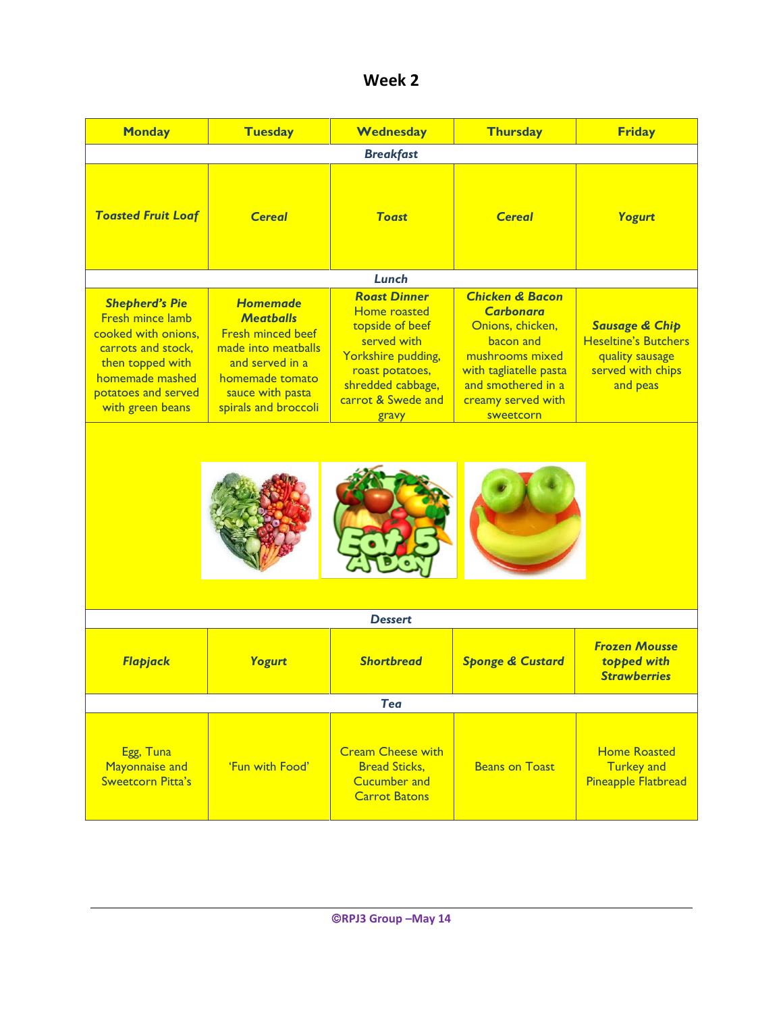| Week 2 |  |
|--------|--|
|--------|--|

| <b>Monday</b>                                                                                                                                                                   | <b>Tuesday</b>                                                                                                                                                           | Wednesday                                                                                                                                                          | <b>Thursday</b>                                                                                                                                                                       | <b>Friday</b>                                                                                                |
|---------------------------------------------------------------------------------------------------------------------------------------------------------------------------------|--------------------------------------------------------------------------------------------------------------------------------------------------------------------------|--------------------------------------------------------------------------------------------------------------------------------------------------------------------|---------------------------------------------------------------------------------------------------------------------------------------------------------------------------------------|--------------------------------------------------------------------------------------------------------------|
|                                                                                                                                                                                 |                                                                                                                                                                          | <b>Breakfast</b>                                                                                                                                                   |                                                                                                                                                                                       |                                                                                                              |
| <b>Toasted Fruit Loaf</b>                                                                                                                                                       | <b>Cereal</b>                                                                                                                                                            | <b>Toast</b>                                                                                                                                                       | <b>Cereal</b>                                                                                                                                                                         | Yogurt                                                                                                       |
|                                                                                                                                                                                 |                                                                                                                                                                          | Lunch                                                                                                                                                              |                                                                                                                                                                                       |                                                                                                              |
| <b>Shepherd's Pie</b><br><b>Fresh mince lamb</b><br>cooked with onions.<br>carrots and stock.<br>then topped with<br>homemade mashed<br>potatoes and served<br>with green beans | <b>Homemade</b><br><b>Meatballs</b><br><b>Fresh minced beef</b><br>made into meatballs<br>and served in a<br>homemade tomato<br>sauce with pasta<br>spirals and broccoli | <b>Roast Dinner</b><br>Home roasted<br>topside of beef<br>served with<br>Yorkshire pudding,<br>roast potatoes,<br>shredded cabbage,<br>carrot & Swede and<br>gravy | <b>Chicken &amp; Bacon</b><br><b>Carbonara</b><br>Onions, chicken,<br>bacon and<br>mushrooms mixed<br>with tagliatelle pasta<br>and smothered in a<br>creamy served with<br>sweetcorn | <b>Sausage &amp; Chip</b><br><b>Heseltine's Butchers</b><br>quality sausage<br>served with chips<br>and peas |
|                                                                                                                                                                                 |                                                                                                                                                                          |                                                                                                                                                                    |                                                                                                                                                                                       |                                                                                                              |
|                                                                                                                                                                                 |                                                                                                                                                                          |                                                                                                                                                                    |                                                                                                                                                                                       |                                                                                                              |
|                                                                                                                                                                                 |                                                                                                                                                                          |                                                                                                                                                                    |                                                                                                                                                                                       |                                                                                                              |
|                                                                                                                                                                                 |                                                                                                                                                                          | <b>Dessert</b>                                                                                                                                                     |                                                                                                                                                                                       |                                                                                                              |
| Flapjack                                                                                                                                                                        | <b>Yogurt</b>                                                                                                                                                            | <b>Shortbread</b>                                                                                                                                                  | <b>Sponge &amp; Custard</b>                                                                                                                                                           | <b>Frozen Mousse</b><br>topped with<br><b>Strawberries</b>                                                   |
| <b>Tea</b>                                                                                                                                                                      |                                                                                                                                                                          |                                                                                                                                                                    |                                                                                                                                                                                       |                                                                                                              |
| Egg, Tuna<br><b>Mayonnaise and</b><br><b>Sweetcorn Pitta's</b>                                                                                                                  | 'Fun with Food'                                                                                                                                                          | <b>Cream Cheese with</b><br><b>Bread Sticks,</b><br><b>Cucumber and</b><br><b>Carrot Batons</b>                                                                    | <b>Beans on Toast</b>                                                                                                                                                                 | <b>Home Roasted</b><br><b>Turkey and</b><br><b>Pineapple Flatbread</b>                                       |